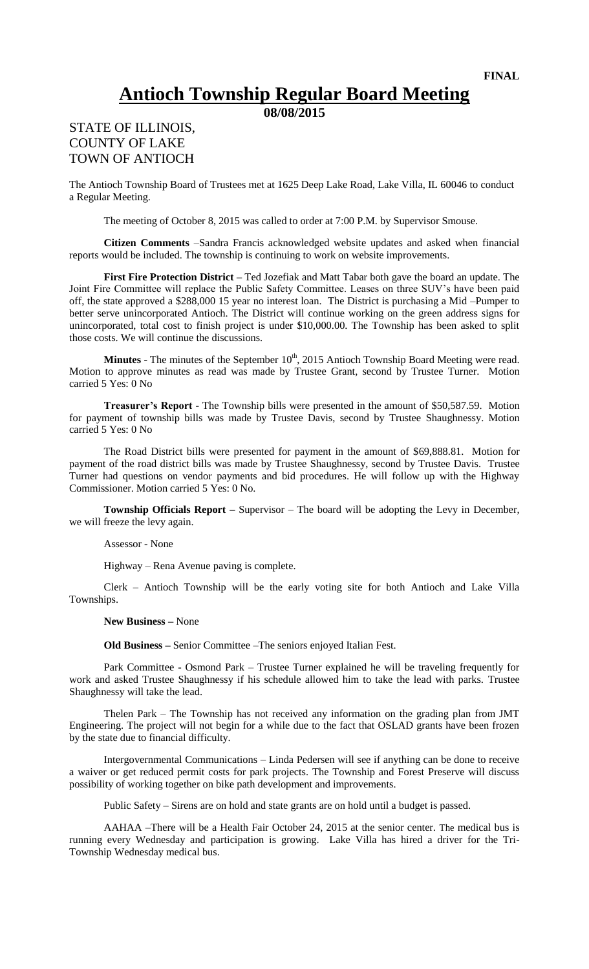## **Antioch Township Regular Board Meeting**

**08/08/2015**

## STATE OF ILLINOIS, COUNTY OF LAKE TOWN OF ANTIOCH

The Antioch Township Board of Trustees met at 1625 Deep Lake Road, Lake Villa, IL 60046 to conduct a Regular Meeting.

The meeting of October 8, 2015 was called to order at 7:00 P.M. by Supervisor Smouse.

**Citizen Comments** –Sandra Francis acknowledged website updates and asked when financial reports would be included. The township is continuing to work on website improvements.

**First Fire Protection District –** Ted Jozefiak and Matt Tabar both gave the board an update. The Joint Fire Committee will replace the Public Safety Committee. Leases on three SUV's have been paid off, the state approved a \$288,000 15 year no interest loan. The District is purchasing a Mid –Pumper to better serve unincorporated Antioch. The District will continue working on the green address signs for unincorporated, total cost to finish project is under \$10,000.00. The Township has been asked to split those costs. We will continue the discussions.

Minutes - The minutes of the September 10<sup>th</sup>, 2015 Antioch Township Board Meeting were read. Motion to approve minutes as read was made by Trustee Grant, second by Trustee Turner. Motion carried 5 Yes: 0 No

**Treasurer's Report** - The Township bills were presented in the amount of \$50,587.59. Motion for payment of township bills was made by Trustee Davis, second by Trustee Shaughnessy. Motion carried 5 Yes: 0 No

The Road District bills were presented for payment in the amount of \$69,888.81. Motion for payment of the road district bills was made by Trustee Shaughnessy, second by Trustee Davis. Trustee Turner had questions on vendor payments and bid procedures. He will follow up with the Highway Commissioner. Motion carried 5 Yes: 0 No.

**Township Officials Report –** Supervisor – The board will be adopting the Levy in December, we will freeze the levy again.

Assessor - None

Highway – Rena Avenue paving is complete.

Clerk – Antioch Township will be the early voting site for both Antioch and Lake Villa Townships.

**New Business –** None

**Old Business –** Senior Committee –The seniors enjoyed Italian Fest.

Park Committee - Osmond Park – Trustee Turner explained he will be traveling frequently for work and asked Trustee Shaughnessy if his schedule allowed him to take the lead with parks. Trustee Shaughnessy will take the lead.

Thelen Park – The Township has not received any information on the grading plan from JMT Engineering. The project will not begin for a while due to the fact that OSLAD grants have been frozen by the state due to financial difficulty.

Intergovernmental Communications – Linda Pedersen will see if anything can be done to receive a waiver or get reduced permit costs for park projects. The Township and Forest Preserve will discuss possibility of working together on bike path development and improvements.

Public Safety – Sirens are on hold and state grants are on hold until a budget is passed.

AAHAA –There will be a Health Fair October 24, 2015 at the senior center. The medical bus is running every Wednesday and participation is growing. Lake Villa has hired a driver for the Tri-Township Wednesday medical bus.